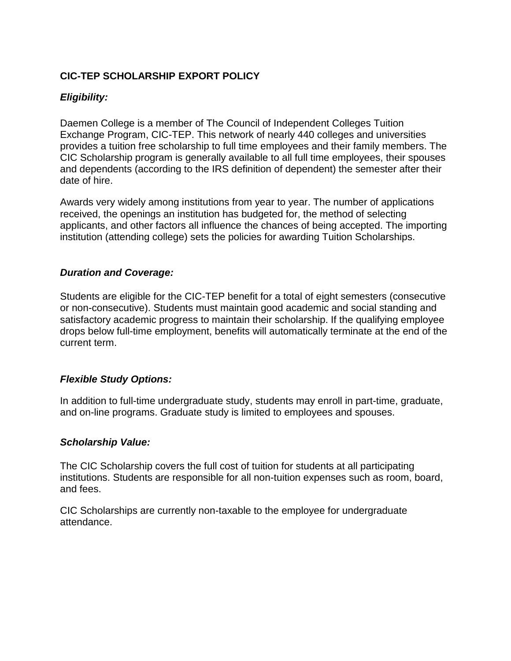# **CIC-TEP SCHOLARSHIP EXPORT POLICY**

## *Eligibility:*

Daemen College is a member of The Council of Independent Colleges Tuition Exchange Program, CIC-TEP. This network of nearly 440 colleges and universities provides a tuition free scholarship to full time employees and their family members. The CIC Scholarship program is generally available to all full time employees, their spouses and dependents (according to the IRS definition of dependent) the semester after their date of hire.

Awards very widely among institutions from year to year. The number of applications received, the openings an institution has budgeted for, the method of selecting applicants, and other factors all influence the chances of being accepted. The importing institution (attending college) sets the policies for awarding Tuition Scholarships.

## *Duration and Coverage:*

Students are eligible for the CIC-TEP benefit for a total of eight semesters (consecutive or non-consecutive). Students must maintain good academic and social standing and satisfactory academic progress to maintain their scholarship. If the qualifying employee drops below full-time employment, benefits will automatically terminate at the end of the current term.

#### *Flexible Study Options:*

In addition to full-time undergraduate study, students may enroll in part-time, graduate, and on-line programs. Graduate study is limited to employees and spouses.

#### *Scholarship Value:*

The CIC Scholarship covers the full cost of tuition for students at all participating institutions. Students are responsible for all non-tuition expenses such as room, board, and fees.

CIC Scholarships are currently non-taxable to the employee for undergraduate attendance.